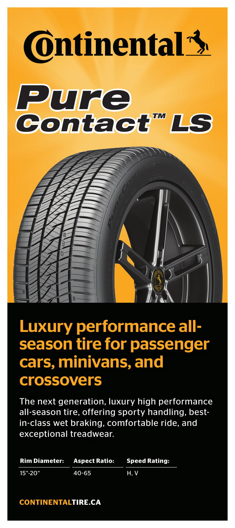

# Luxury performance allseason tire for passenger cars, minivans, and crossovers

The next generation, luxury high performance all-season tire, offering sporty handling, bestin-class wet braking, comfortable ride, and exceptional treadwear.

|                           | Rim Diameter: Aspect Ratio: Speed Rating: |     |
|---------------------------|-------------------------------------------|-----|
| $15^{\circ} - 20^{\circ}$ | $40 - 65$                                 | H.V |

**CONTINENTALTIRE.CA**